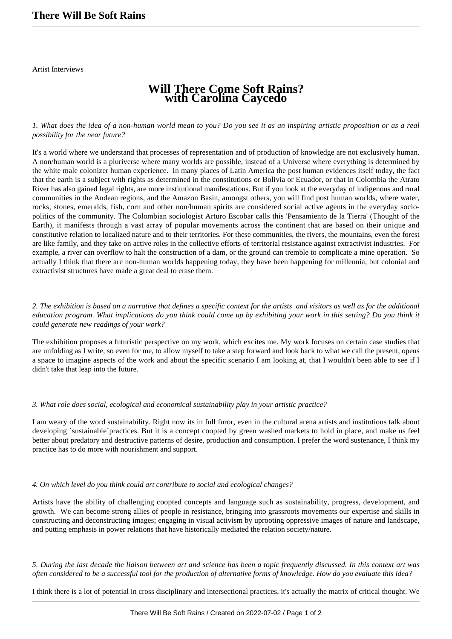Artist Interviews

# **Will There Come Soft Rains? with Carolina Caycedo**

#### *1. What does the idea of a non-human world mean to you? Do you see it as an inspiring artistic proposition or as a real possibility for the near future?*

It's a world where we understand that processes of representation and of production of knowledge are not exclusively human. A non/human world is a pluriverse where many worlds are possible, instead of a Universe where everything is determined by the white male colonizer human experience. In many places of Latin America the post human evidences itself today, the fact that the earth is a subject with rights as determined in the constitutions or Bolivia or Ecuador, or that in Colombia the Atrato River has also gained legal rights, are more institutional manifestations. But if you look at the everyday of indigenous and rural communities in the Andean regions, and the Amazon Basin, amongst others, you will find post human worlds, where water, rocks, stones, emeralds, fish, corn and other non/human spirits are considered social active agents in the everyday sociopolitics of the community. The Colombian sociologist Arturo Escobar calls this 'Pensamiento de la Tierra' (Thought of the Earth), it manifests through a vast array of popular movements across the continent that are based on their unique and constitutive relation to localized nature and to their territories. For these communities, the rivers, the mountains, even the forest are like family, and they take on active roles in the collective efforts of territorial resistance against extractivist industries. For example, a river can overflow to halt the construction of a dam, or the ground can tremble to complicate a mine operation. So actually I think that there are non-human worlds happening today, they have been happening for millennia, but colonial and extractivist structures have made a great deal to erase them.

### *2. The exhibition is based on a narrative that defines a specific context for the artists and visitors as well as for the additional education program. What implications do you think could come up by exhibiting your work in this setting? Do you think it could generate new readings of your work?*

The exhibition proposes a futuristic perspective on my work, which excites me. My work focuses on certain case studies that are unfolding as I write, so even for me, to allow myself to take a step forward and look back to what we call the present, opens a space to imagine aspects of the work and about the specific scenario I am looking at, that I wouldn't been able to see if I didn't take that leap into the future.

#### *3. What role does social, ecological and economical sustainability play in your artistic practice?*

I am weary of the word sustainability. Right now its in full furor, even in the cultural arena artists and institutions talk about developing ´sustainable´practices. But it is a concept coopted by green washed markets to hold in place, and make us feel better about predatory and destructive patterns of desire, production and consumption. I prefer the word sustenance, I think my practice has to do more with nourishment and support.

## *4. On which level do you think could art contribute to social and ecological changes?*

Artists have the ability of challenging coopted concepts and language such as sustainability, progress, development, and growth. We can become strong allies of people in resistance, bringing into grassroots movements our expertise and skills in constructing and deconstructing images; engaging in visual activism by uprooting oppressive images of nature and landscape, and putting emphasis in power relations that have historically mediated the relation society/nature.

*5. During the last decade the liaison between art and science has been a topic frequently discussed. In this context art was often considered to be a successful tool for the production of alternative forms of knowledge. How do you evaluate this idea?*

I think there is a lot of potential in cross disciplinary and intersectional practices, it's actually the matrix of critical thought. We